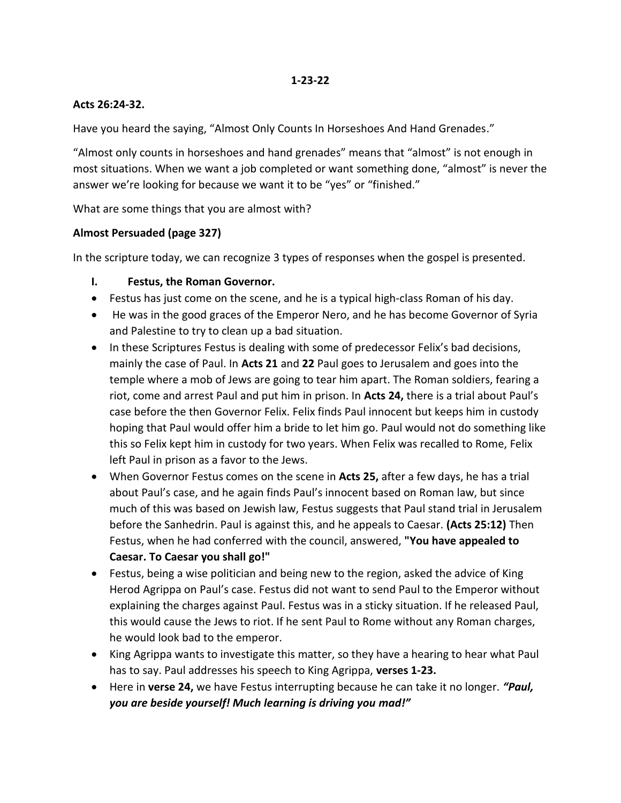#### **1-23-22**

#### **Acts 26:24-32.**

Have you heard the saying, "Almost Only Counts In Horseshoes And Hand Grenades."

"Almost only counts in horseshoes and hand grenades" means that "almost" is not enough in most situations. When we want a job completed or want something done, "almost" is never the answer we're looking for because we want it to be "yes" or "finished."

What are some things that you are almost with?

#### **Almost Persuaded (page 327)**

In the scripture today, we can recognize 3 types of responses when the gospel is presented.

#### **I. Festus, the Roman Governor.**

- Festus has just come on the scene, and he is a typical high-class Roman of his day.
- He was in the good graces of the Emperor Nero, and he has become Governor of Syria and Palestine to try to clean up a bad situation.
- In these Scriptures Festus is dealing with some of predecessor Felix's bad decisions, mainly the case of Paul. In **Acts 21** and **22** Paul goes to Jerusalem and goes into the temple where a mob of Jews are going to tear him apart. The Roman soldiers, fearing a riot, come and arrest Paul and put him in prison. In **Acts 24,** there is a trial about Paul's case before the then Governor Felix. Felix finds Paul innocent but keeps him in custody hoping that Paul would offer him a bride to let him go. Paul would not do something like this so Felix kept him in custody for two years. When Felix was recalled to Rome, Felix left Paul in prison as a favor to the Jews.
- When Governor Festus comes on the scene in **Acts 25,** after a few days, he has a trial about Paul's case, and he again finds Paul's innocent based on Roman law, but since much of this was based on Jewish law, Festus suggests that Paul stand trial in Jerusalem before the Sanhedrin. Paul is against this, and he appeals to Caesar. **(Acts 25:12)** Then Festus, when he had conferred with the council, answered, **"You have appealed to Caesar. To Caesar you shall go!"**
- Festus, being a wise politician and being new to the region, asked the advice of King Herod Agrippa on Paul's case. Festus did not want to send Paul to the Emperor without explaining the charges against Paul. Festus was in a sticky situation. If he released Paul, this would cause the Jews to riot. If he sent Paul to Rome without any Roman charges, he would look bad to the emperor.
- King Agrippa wants to investigate this matter, so they have a hearing to hear what Paul has to say. Paul addresses his speech to King Agrippa, **verses 1-23.**
- Here in **verse 24,** we have Festus interrupting because he can take it no longer. *"Paul, you are beside yourself! Much learning is driving you mad!"*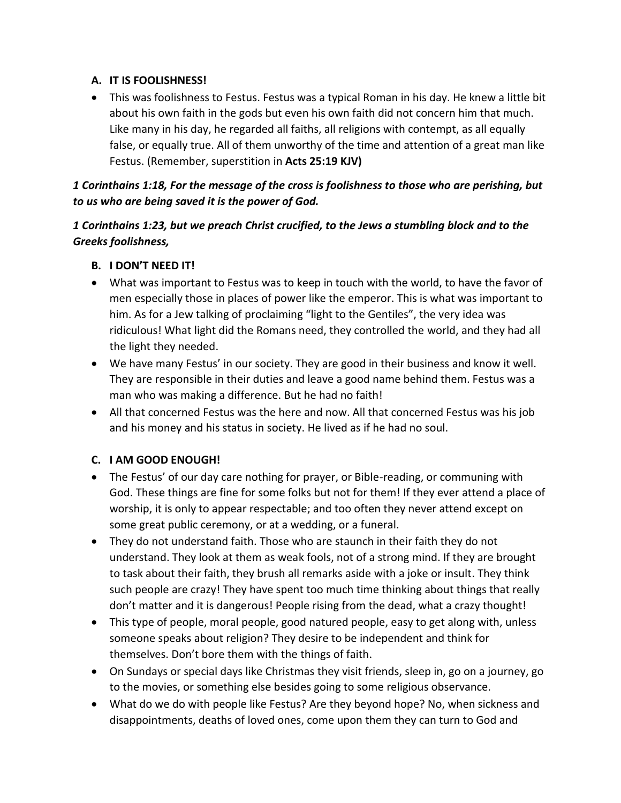## **A. IT IS FOOLISHNESS!**

 This was foolishness to Festus. Festus was a typical Roman in his day. He knew a little bit about his own faith in the gods but even his own faith did not concern him that much. Like many in his day, he regarded all faiths, all religions with contempt, as all equally false, or equally true. All of them unworthy of the time and attention of a great man like Festus. (Remember, superstition in **Acts 25:19 KJV)**

# *1 Corinthains 1:18, For the message of the cross is foolishness to those who are perishing, but to us who are being saved it is the power of God.*

# *1 Corinthains 1:23, but we preach Christ crucified, to the Jews a stumbling block and to the Greeks foolishness,*

- **B. I DON'T NEED IT!**
- What was important to Festus was to keep in touch with the world, to have the favor of men especially those in places of power like the emperor. This is what was important to him. As for a Jew talking of proclaiming "light to the Gentiles", the very idea was ridiculous! What light did the Romans need, they controlled the world, and they had all the light they needed.
- We have many Festus' in our society. They are good in their business and know it well. They are responsible in their duties and leave a good name behind them. Festus was a man who was making a difference. But he had no faith!
- All that concerned Festus was the here and now. All that concerned Festus was his job and his money and his status in society. He lived as if he had no soul.

# **C. I AM GOOD ENOUGH!**

- The Festus' of our day care nothing for prayer, or Bible-reading, or communing with God. These things are fine for some folks but not for them! If they ever attend a place of worship, it is only to appear respectable; and too often they never attend except on some great public ceremony, or at a wedding, or a funeral.
- They do not understand faith. Those who are staunch in their faith they do not understand. They look at them as weak fools, not of a strong mind. If they are brought to task about their faith, they brush all remarks aside with a joke or insult. They think such people are crazy! They have spent too much time thinking about things that really don't matter and it is dangerous! People rising from the dead, what a crazy thought!
- This type of people, moral people, good natured people, easy to get along with, unless someone speaks about religion? They desire to be independent and think for themselves. Don't bore them with the things of faith.
- On Sundays or special days like Christmas they visit friends, sleep in, go on a journey, go to the movies, or something else besides going to some religious observance.
- What do we do with people like Festus? Are they beyond hope? No, when sickness and disappointments, deaths of loved ones, come upon them they can turn to God and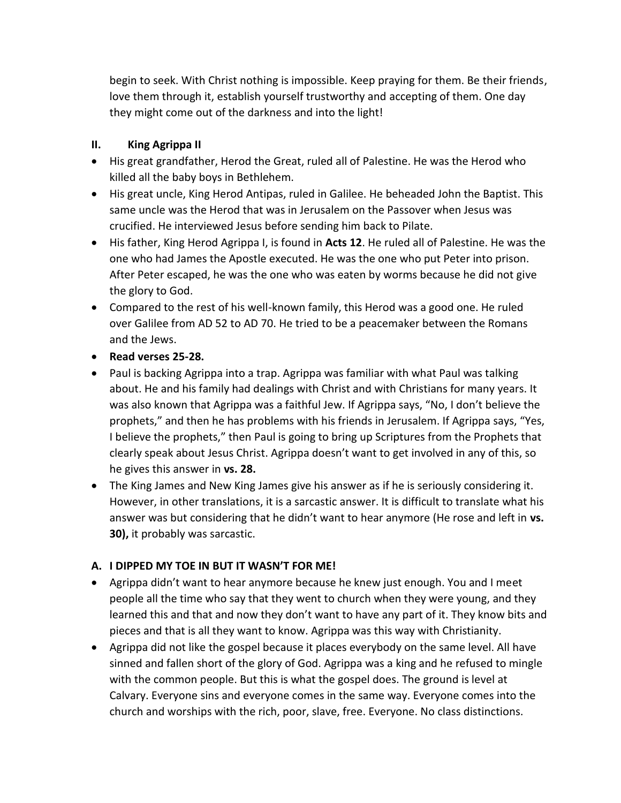begin to seek. With Christ nothing is impossible. Keep praying for them. Be their friends, love them through it, establish yourself trustworthy and accepting of them. One day they might come out of the darkness and into the light!

### **II. King Agrippa II**

- His great grandfather, Herod the Great, ruled all of Palestine. He was the Herod who killed all the baby boys in Bethlehem.
- His great uncle, King Herod Antipas, ruled in Galilee. He beheaded John the Baptist. This same uncle was the Herod that was in Jerusalem on the Passover when Jesus was crucified. He interviewed Jesus before sending him back to Pilate.
- His father, King Herod Agrippa I, is found in **Acts 12**. He ruled all of Palestine. He was the one who had James the Apostle executed. He was the one who put Peter into prison. After Peter escaped, he was the one who was eaten by worms because he did not give the glory to God.
- Compared to the rest of his well-known family, this Herod was a good one. He ruled over Galilee from AD 52 to AD 70. He tried to be a peacemaker between the Romans and the Jews.
- **Read verses 25-28.**
- Paul is backing Agrippa into a trap. Agrippa was familiar with what Paul was talking about. He and his family had dealings with Christ and with Christians for many years. It was also known that Agrippa was a faithful Jew. If Agrippa says, "No, I don't believe the prophets," and then he has problems with his friends in Jerusalem. If Agrippa says, "Yes, I believe the prophets," then Paul is going to bring up Scriptures from the Prophets that clearly speak about Jesus Christ. Agrippa doesn't want to get involved in any of this, so he gives this answer in **vs. 28.**
- The King James and New King James give his answer as if he is seriously considering it. However, in other translations, it is a sarcastic answer. It is difficult to translate what his answer was but considering that he didn't want to hear anymore (He rose and left in **vs. 30),** it probably was sarcastic.

# **A. I DIPPED MY TOE IN BUT IT WASN'T FOR ME!**

- Agrippa didn't want to hear anymore because he knew just enough. You and I meet people all the time who say that they went to church when they were young, and they learned this and that and now they don't want to have any part of it. They know bits and pieces and that is all they want to know. Agrippa was this way with Christianity.
- Agrippa did not like the gospel because it places everybody on the same level. All have sinned and fallen short of the glory of God. Agrippa was a king and he refused to mingle with the common people. But this is what the gospel does. The ground is level at Calvary. Everyone sins and everyone comes in the same way. Everyone comes into the church and worships with the rich, poor, slave, free. Everyone. No class distinctions.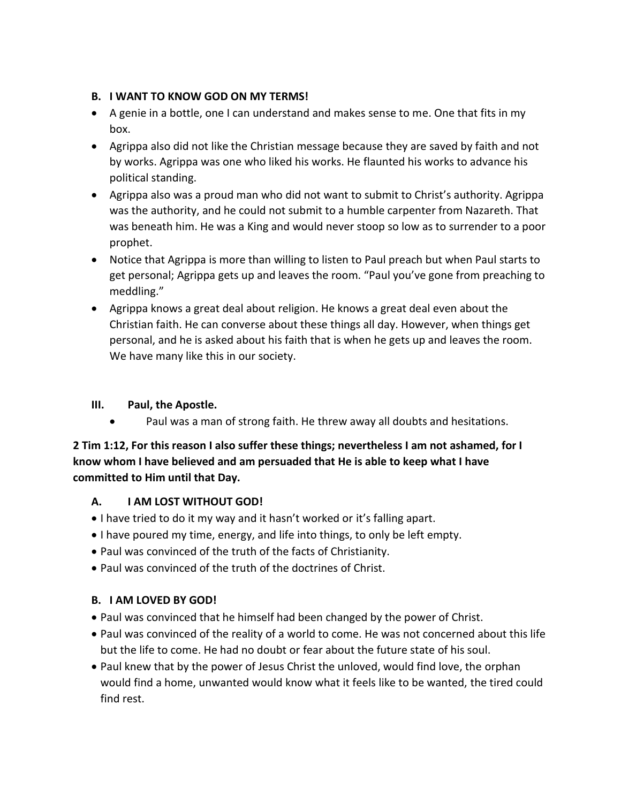## **B. I WANT TO KNOW GOD ON MY TERMS!**

- A genie in a bottle, one I can understand and makes sense to me. One that fits in my box.
- Agrippa also did not like the Christian message because they are saved by faith and not by works. Agrippa was one who liked his works. He flaunted his works to advance his political standing.
- Agrippa also was a proud man who did not want to submit to Christ's authority. Agrippa was the authority, and he could not submit to a humble carpenter from Nazareth. That was beneath him. He was a King and would never stoop so low as to surrender to a poor prophet.
- Notice that Agrippa is more than willing to listen to Paul preach but when Paul starts to get personal; Agrippa gets up and leaves the room. "Paul you've gone from preaching to meddling."
- Agrippa knows a great deal about religion. He knows a great deal even about the Christian faith. He can converse about these things all day. However, when things get personal, and he is asked about his faith that is when he gets up and leaves the room. We have many like this in our society.

## **III. Paul, the Apostle.**

Paul was a man of strong faith. He threw away all doubts and hesitations.

## **2 Tim 1:12, For this reason I also suffer these things; nevertheless I am not ashamed, for I know whom I have believed and am persuaded that He is able to keep what I have committed to Him until that Day.**

# **A. I AM LOST WITHOUT GOD!**

- I have tried to do it my way and it hasn't worked or it's falling apart.
- I have poured my time, energy, and life into things, to only be left empty.
- Paul was convinced of the truth of the facts of Christianity.
- Paul was convinced of the truth of the doctrines of Christ.

#### **B. I AM LOVED BY GOD!**

- Paul was convinced that he himself had been changed by the power of Christ.
- Paul was convinced of the reality of a world to come. He was not concerned about this life but the life to come. He had no doubt or fear about the future state of his soul.
- Paul knew that by the power of Jesus Christ the unloved, would find love, the orphan would find a home, unwanted would know what it feels like to be wanted, the tired could find rest.